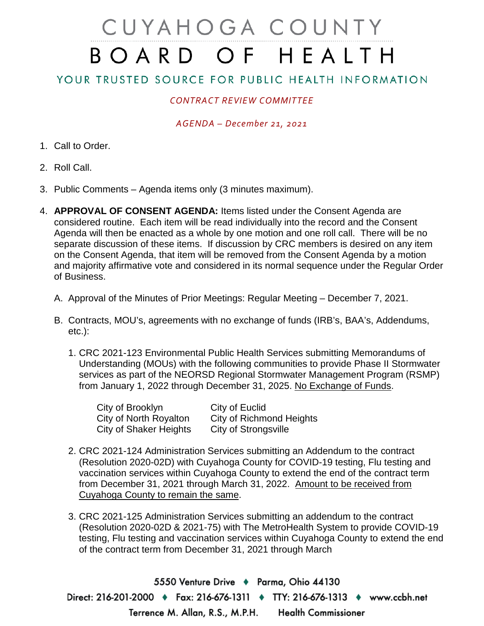# CUYAHOGA COUNTY BOARD OF HEALTH

## YOUR TRUSTED SOURCE FOR PUBLIC HEALTH INFORMATION

## *CONTRACT REVIEW COMMITTEE*

#### *AGENDA – December 21, 2021*

- 1. Call to Order.
- 2. Roll Call.
- 3. Public Comments Agenda items only (3 minutes maximum).
- 4. **APPROVAL OF CONSENT AGENDA:** Items listed under the Consent Agenda are considered routine. Each item will be read individually into the record and the Consent Agenda will then be enacted as a whole by one motion and one roll call. There will be no separate discussion of these items. If discussion by CRC members is desired on any item on the Consent Agenda, that item will be removed from the Consent Agenda by a motion and majority affirmative vote and considered in its normal sequence under the Regular Order of Business.
	- A. Approval of the Minutes of Prior Meetings: Regular Meeting December 7, 2021.
	- B. Contracts, MOU's, agreements with no exchange of funds (IRB's, BAA's, Addendums, etc.):
		- 1. CRC 2021-123 Environmental Public Health Services submitting Memorandums of Understanding (MOUs) with the following communities to provide Phase II Stormwater services as part of the NEORSD Regional Stormwater Management Program (RSMP) from January 1, 2022 through December 31, 2025. No Exchange of Funds.

| City of Brooklyn              | City of Euclid           |
|-------------------------------|--------------------------|
| City of North Royalton        | City of Richmond Heights |
| <b>City of Shaker Heights</b> | City of Strongsville     |

- 2. CRC 2021-124 Administration Services submitting an Addendum to the contract (Resolution 2020-02D) with Cuyahoga County for COVID-19 testing, Flu testing and vaccination services within Cuyahoga County to extend the end of the contract term from December 31, 2021 through March 31, 2022. Amount to be received from Cuyahoga County to remain the same.
- 3. CRC 2021-125 Administration Services submitting an addendum to the contract (Resolution 2020-02D & 2021-75) with The MetroHealth System to provide COVID-19 testing, Flu testing and vaccination services within Cuyahoga County to extend the end of the contract term from December 31, 2021 through March

5550 Venture Drive + Parma, Ohio 44130 Direct: 216-201-2000 ♦ Fax: 216-676-1311 ♦ TTY: 216-676-1313 ♦ www.ccbh.net Terrence M. Allan, R.S., M.P.H. **Health Commissioner**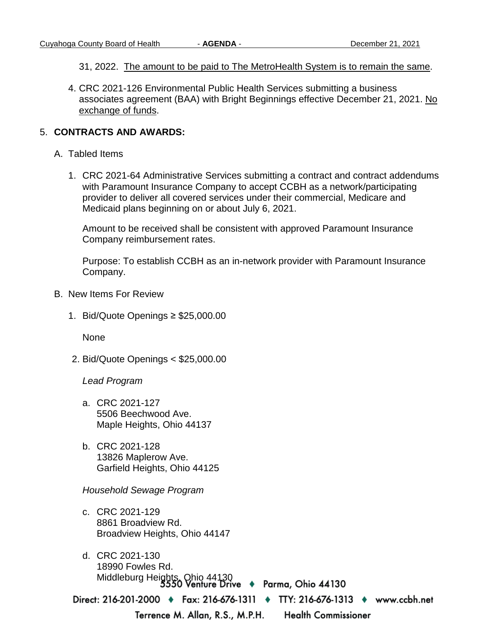31, 2022. The amount to be paid to The MetroHealth System is to remain the same.

4. CRC 2021-126 Environmental Public Health Services submitting a business associates agreement (BAA) with Bright Beginnings effective December 21, 2021. No exchange of funds.

### 5. **CONTRACTS AND AWARDS:**

- A. Tabled Items
	- 1. CRC 2021-64 Administrative Services submitting a contract and contract addendums with Paramount Insurance Company to accept CCBH as a network/participating provider to deliver all covered services under their commercial, Medicare and Medicaid plans beginning on or about July 6, 2021.

Amount to be received shall be consistent with approved Paramount Insurance Company reimbursement rates.

Purpose: To establish CCBH as an in-network provider with Paramount Insurance Company.

- B. New Items For Review
	- 1. Bid/Quote Openings ≥ \$25,000.00

None

2. Bid/Quote Openings < \$25,000.00

*Lead Program* 

- a. CRC 2021-127 5506 Beechwood Ave. Maple Heights, Ohio 44137
- b. CRC 2021-128 13826 Maplerow Ave. Garfield Heights, Ohio 44125

*Household Sewage Program* 

- c. CRC 2021-129 8861 Broadview Rd. Broadview Heights, Ohio 44147
- d. CRC 2021-130 18990 Fowles Rd. Middleburg Heights, Ohio 44130<br>5550 Venture Drive + Parma, Ohio 44130

Direct: 216-201-2000 ♦ Fax: 216-676-1311 ♦ TTY: 216-676-1313 ♦ www.ccbh.net

Terrence M. Allan, R.S., M.P.H.

**Health Commissioner**